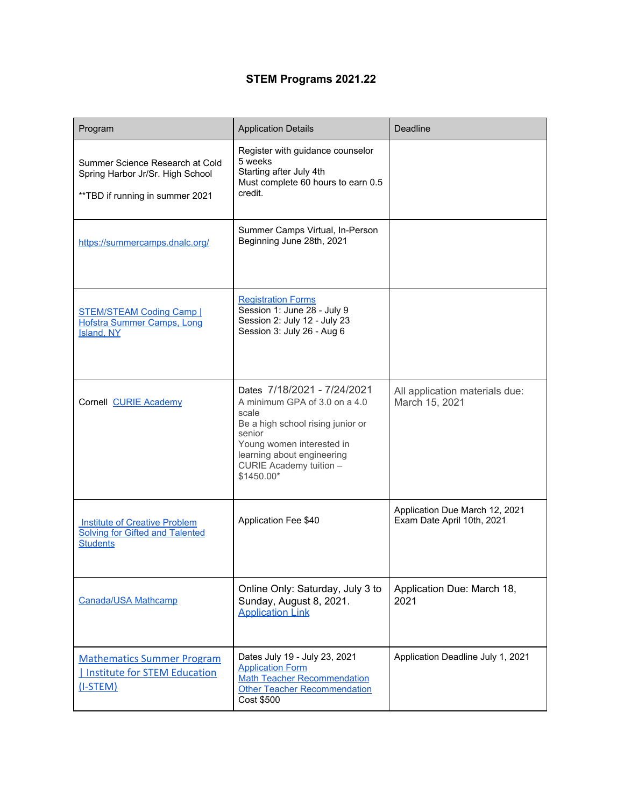## **STEM Programs 2021.22**

| Program                                                                                                 | <b>Application Details</b>                                                                                                                                                                                               | Deadline                                                     |
|---------------------------------------------------------------------------------------------------------|--------------------------------------------------------------------------------------------------------------------------------------------------------------------------------------------------------------------------|--------------------------------------------------------------|
| Summer Science Research at Cold<br>Spring Harbor Jr/Sr. High School<br>** TBD if running in summer 2021 | Register with guidance counselor<br>5 weeks<br>Starting after July 4th<br>Must complete 60 hours to earn 0.5<br>credit.                                                                                                  |                                                              |
| https://summercamps.dnalc.org/                                                                          | Summer Camps Virtual, In-Person<br>Beginning June 28th, 2021                                                                                                                                                             |                                                              |
| <b>STEM/STEAM Coding Camp  </b><br><b>Hofstra Summer Camps, Long</b><br>Island, NY                      | <b>Registration Forms</b><br>Session 1: June 28 - July 9<br>Session 2: July 12 - July 23<br>Session 3: July 26 - Aug 6                                                                                                   |                                                              |
| Cornell CURIE Academy                                                                                   | Dates 7/18/2021 - 7/24/2021<br>A minimum GPA of 3.0 on a 4.0<br>scale<br>Be a high school rising junior or<br>senior<br>Young women interested in<br>learning about engineering<br>CURIE Academy tuition -<br>\$1450.00* | All application materials due:<br>March 15, 2021             |
| <b>Institute of Creative Problem</b><br>Solving for Gifted and Talented<br><b>Students</b>              | Application Fee \$40                                                                                                                                                                                                     | Application Due March 12, 2021<br>Exam Date April 10th, 2021 |
| Canada/USA Mathcamp                                                                                     | Online Only: Saturday, July 3 to<br>Sunday, August 8, 2021.<br><b>Application Link</b>                                                                                                                                   | Application Due: March 18,<br>2021                           |
| <b>Mathematics Summer Program</b><br>Institute for STEM Education<br>$(I-STEM)$                         | Dates July 19 - July 23, 2021<br><b>Application Form</b><br><b>Math Teacher Recommendation</b><br>Other Teacher Recommendation<br>Cost \$500                                                                             | Application Deadline July 1, 2021                            |